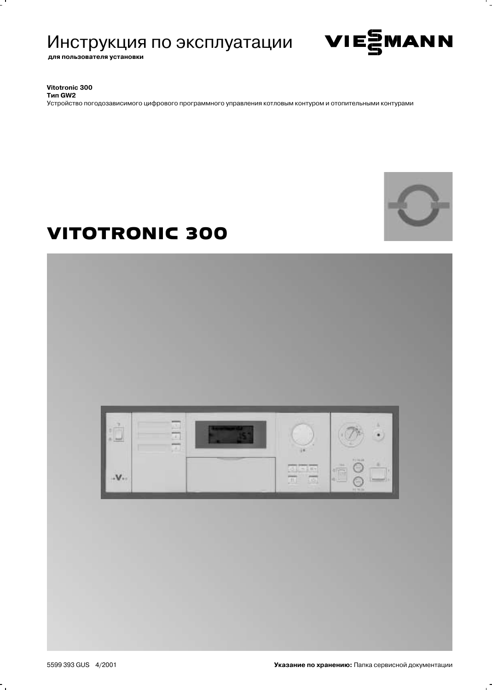# Инструкция по эксплуатации

для пользователя установки



Vitotronic 300

**Тип GW2** Устройство погодозависимого цифрового программного управления котловым контуром и отопительными контурами



# **VITOTRONIC 300**

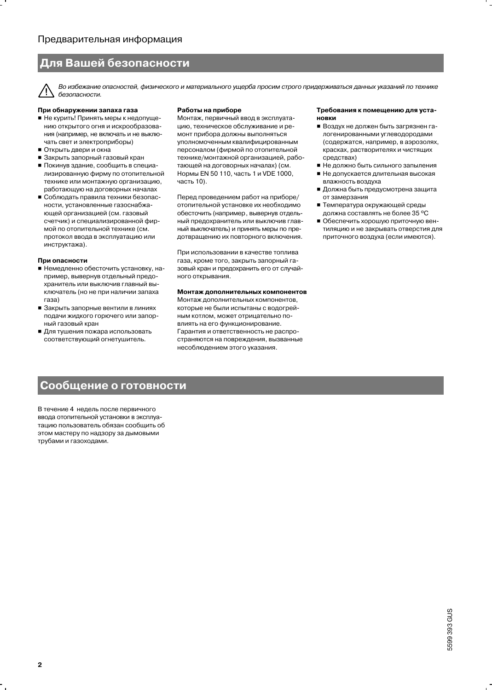# Для Вашей безопасности

Во избежание опасностей, физического и материального ущерба просим строго придерживаться данных указаний по технике 7 [ безопасности.

### При обнаружении запаха газа

- Не курить! Принять меры к недопущению открытого огня и искрообразования (например, не включать и не выключать свет и электроприборы)
- Открыть двери и окна
- Закрыть запорный газовый кран
- Покинув здание, сообщить в специализированную фирму по отопительной технике или монтажную организацию, работающую на договорных началах
- Соблюдать правила техники безопасности, установленные газоснабжающей организацией (см. газовый счетчик) и специализированной фирмой по отопительной технике (см. протокол ввода в эксплуатацию или инструктажа).

#### При опасности

- Немедленно обесточить установку, например, вывернув отдельный предохранитель или выключив главный выключатель (но не при наличии запаха газа)
- Закрыть запорные вентили в линиях подачи жидкого горючего или запорный газовый кран
- Для тушения пожара использовать соответствующий огнетушитель.

#### Работы на приборе

Монтаж, первичный ввод в эксплуатацию, техническое обслуживание и ремонт прибора должны выполняться уполномоченным квалифицированным персоналом (фирмой по отопительной технике/монтажной организацией, работающей на договорных началах) (см. Нормы EN 50 110, часть 1 и VDE 1000, часть 10).

Перед проведением работ на приборе/ отопительной установке их необходимо обесточить (например, вывернув отдельный предохранитель или выключив главный выключатель) и принять меры по предотвращению их повторного включения.

При использовании в качестве топлива газа, кроме того, закрыть запорный газовый кран и предохранить его от случайного открывания.

### Монтаж дополнительных компонентов

Монтаж дополнительных компонентов, которые не были испытаны с водогрейным котлом, может отрицательно повлиять на его функционирование. Гарантия и ответственность не распространяются на повреждения, вызванные несоблюдением этого указания.

#### Требования к помещению для уста-HORKH

- Воздух не должен быть загрязнен галогенированными углеводородами (содержатся, например, в аэрозолях, красках, растворителях и чистящих средствах)
- Не должно быть сильного запыления
- Не допускается длительная высокая влажность воздуха
- Должна быть предусмотрена защита от замерзания
- Температура окружающей среды должна составлять не более 35 °С
- Обеспечить хорошую приточную вентиляцию и не закрывать отверстия для приточного воздуха (если имеются).

# Сообщение о готовности

В течение 4 недель после первичного ввода отопительной установки в эксплуатацию пользователь обязан сообщить об этом мастеру по надзору за дымовыми трубами и газоходами.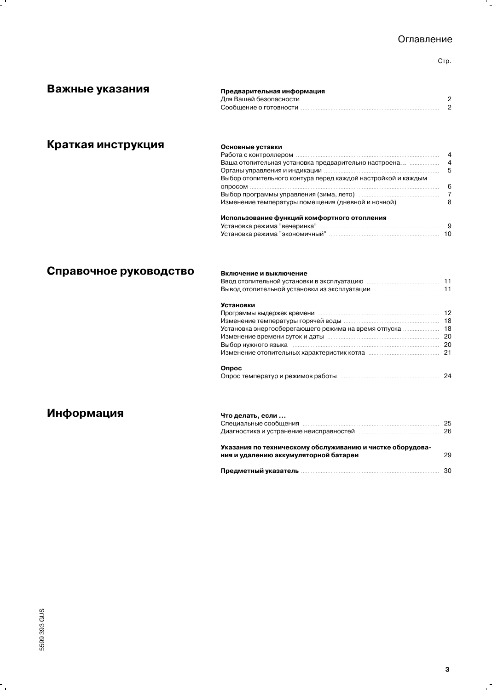# Оглавление

Стр.

۰.

| Важные указания        |                                                                           |                |  |
|------------------------|---------------------------------------------------------------------------|----------------|--|
|                        | Предварительная информация                                                |                |  |
|                        |                                                                           |                |  |
|                        |                                                                           |                |  |
| Краткая инструкция     | Основные уставки                                                          |                |  |
|                        |                                                                           | $\overline{4}$ |  |
|                        |                                                                           |                |  |
|                        |                                                                           | -5             |  |
|                        | Выбор отопительного контура перед каждой настройкой и каждым              |                |  |
|                        |                                                                           | 6              |  |
|                        |                                                                           |                |  |
|                        | Изменение температуры помещения (дневной и ночной)                        | 8              |  |
|                        | Использование функций комфортного отопления                               |                |  |
|                        |                                                                           |                |  |
|                        |                                                                           |                |  |
| Справочное руководство | Включение и выключение                                                    |                |  |
|                        | <b>Установки</b>                                                          |                |  |
|                        |                                                                           |                |  |
|                        |                                                                           |                |  |
|                        |                                                                           |                |  |
|                        |                                                                           |                |  |
|                        | Выбор нужного языка пополнительно полности по температивного данности. 20 |                |  |
|                        |                                                                           |                |  |
|                        | Опрос                                                                     |                |  |
|                        |                                                                           |                |  |
|                        |                                                                           |                |  |
| Информация             | Что делать, если                                                          |                |  |
|                        | Специальные сообщения политиками политиками политиками и 25               |                |  |
|                        | Диагностика и устранение неисправностей попататов составиват в 26         |                |  |
|                        | Указания по техническому обслуживанию и чистке оборудова-                 |                |  |
|                        | ния и удалению аккумуляторной батареи попататовности по затем и 29        |                |  |

 $\ddot{\phantom{0}}$ 

 $\mathbf{r}$ 

**-**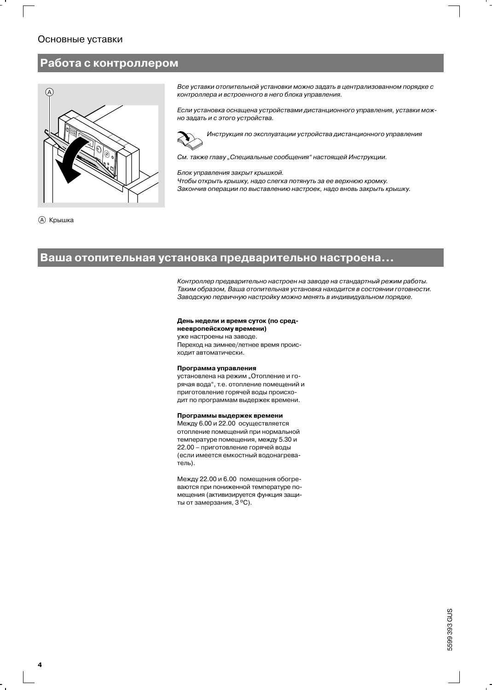## Основные уставки

# Работа с контроллером



Все уставки отопительной установки можно задать в централизованном порядке с контроллера и встроенного в него блока управления.

Если установка оснащена устройствами дистанционного управления, уставки можно задать и с этого устройства.



Инструкция по эксплуатации устройства дистанционного управления

См. также главу "Специальные сообщения" настоящей Инструкции.

Блок управления закрыт крышкой.

Чтобы открыть крышку, надо слегка потянуть за ее верхнюю кромку. Закончив операции по выставлению настроек, надо вновь закрыть крышку.



## Ваша отопительная установка предварительно настроена...

Контроллер предварительно настроен на заводе на стандартный режим работы. Таким образом, Ваша отопительная установка находится в состоянии готовности. Заводскую первичную настройку можно менять в индивидуальном порядке.

### День недели и время суток (по сред-

неевропейскому времени) уже настроены на заводе. Переход на зимнее/летнее время происходит автоматически.

#### Программа управления

установлена на режим "Отопление и горячая вода", т.е. отопление помещений и приготовление горячей воды происходит по программам выдержек времени.

### Программы выдержек времени

Между 6.00 и 22.00 осуществляется отопление помещений при нормальной температуре помещения, между 5.30 и 22.00 - приготовление горячей воды (если имеется емкостный водонагреватель).

Между 22.00 и 6.00 помещения обогреваются при пониженной температуре помещения (активизируется функция защиты от замерзания, 3 °С).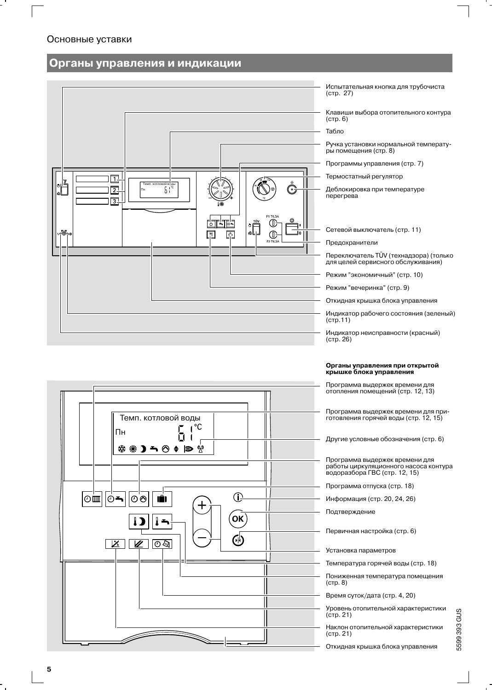# Основные уставки

# Органы управления и индикации



5599 393 GUS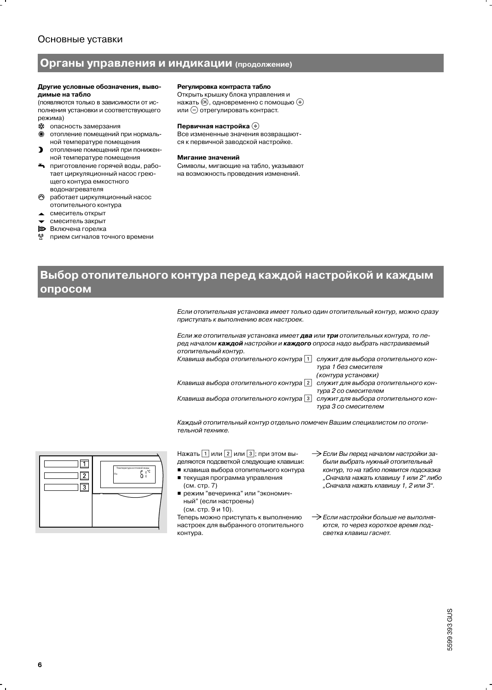# Основные уставки

## Органы управления и индикации (продолжение)

#### Другие условные обозначения, выводимые на табло

(появляются только в зависимости от исполнения установки и соответствующего пежима)

- « опасность замерзания
- 淼 отопление помещений при нормальной температуре помещения
- $\mathbf{v}$ отопление помешений при пониженной температуре помещения
- приготовление горячей воды, работает циркуляционный насос греющего контура емкостного водонагревателя
- работает циркуляционный насос отопительного контура
- смеситель открыт
- смеситель закрыт
- b Включена горелка
- прием сигналов точного времени q,

#### Регулировка контраста табло

Открыть крышку блока управления и нажать  $\circledR$ , одновременно с помощью  $\oplus$ или  $\ominus$  отрегулировать контраст.

#### Первичная настройка (+)

Все измененные значения возвращаются к первичной заводской настройке.

#### Мигание значений

Символы, мигающие на табло, указывают на возможность проведения изменений.

# Выбор отопительного контура перед каждой настройкой и каждым опросом

Если отопительная установка имеет только один отопительный контур, можно сразу приступать к выполнению всех настроек.

Если же отопительная установка имеет два или три отопительных контура, то перед началом каждой настройки и каждого опроса надо выбрать настраиваемый отопительный контур.

| Клавиша выбора отопительного контура   1 | служит для выбора отопительного кон- |
|------------------------------------------|--------------------------------------|
|                                          | тура 1 без смесителя                 |
|                                          | (контура установки)                  |
| Клавиша выбора отопительного контура   2 | служит для выбора отопительного кон- |
|                                          | тура 2 со смесителем                 |
| Клавиша выбора отопительного контура   3 | служит для выбора отопительного кон- |
|                                          | тура 3 со смесителем                 |

Каждый отопительный контур отдельно помечен Вашим специалистом по отопительной технике.



Нажать [1] или [2] или [3]; при этом выделяются подсветкой следующие клавиши: ■ клавиша выбора отопительного контура

- текущая программа управления (см. стр. 7)
- режим "вечеринка" или "экономичный" (если настроены) (см. стр. 9 и 10).

Теперь можно приступать к выполнению настроек для выбранного отопительного контура.

> Если Вы перед началом настройки забыли выбрать нужный отопительный контур, то на табло появится подсказка "Сначала нажать клавишу 1 или 2" либо "Сначала нажать клавишу 1, 2 или 3".

> Если настройки больше не выполняются, то через короткое время подсветка клавиш гаснет.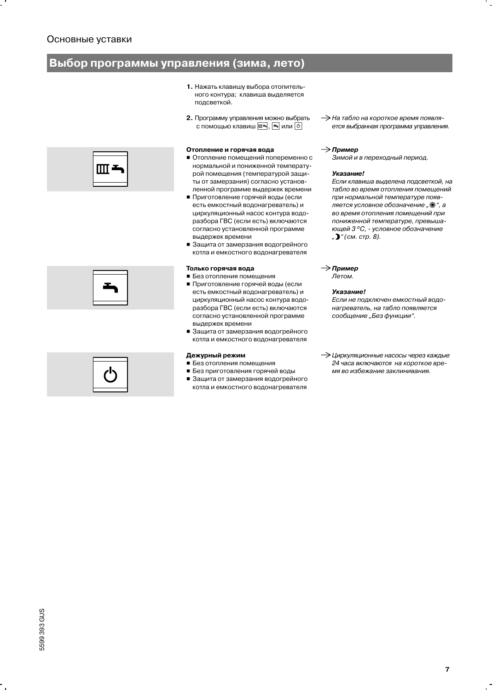# Выбор программы управления (зима, лето)

- 1. Нажать клавишу выбора отопительного контура; клавиша выделяется подсветкой.
- 2. Программу управления можно выбрать с помощью клавиш [ ], [ ] или [ ⊙

### Отопление и горячая вода

- Отопление помещений попеременно с нормальной и пониженной температурой помещения (температурой защиты от замерзания) согласно установленной программе выдержек времени
- Приготовление горячей воды (если есть емкостный водонагреватель) и циркуляционный насос контура водоразбора ГВС (если есть) включаются согласно установленной программе выдержек времени
- Защита от замерзания водогрейного котла и емкостного водонагревателя

### Только горячая вода

- Без отопления помещения
- Приготовление горячей воды (если есть емкостный водонагреватель) и циркуляционный насос контура водоразбора ГВС (если есть) включаются согласно установленной программе выдержек времени
- Защита от замерзания водогрейного котла и емкостного водонагревателя

### Дежурный режим

- Без отопления помещения
- Без приготовления горячей воды
- Защита от замерзания водогрейного котла и емкостного водонагревателя

A На табло на короткое время появляется выбранная программа управления.

### $\rightarrow$  Пример

Зимой и в переходный период.

### Указание!

Если клавиша выделена подсветкой, на табло во время отопления помещений при нормальной температуре появляется условное обозначение " \* ", а во время отопления помещений при пониженной температуре, превышающей 3°С, - условное обозначение ") "(см. стр. 8).

## $\rightarrow$  Пример

Летом.

### Указание!

Если не подключен емкостный водонагреватель, на табло появляется сообщение "Без функции".

-> Циркуляционные насосы через каждые 24 часа включаются на короткое время во избежание заклинивания.





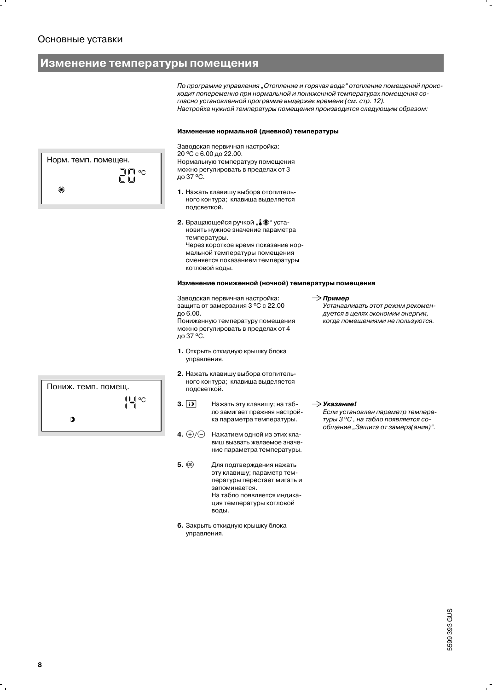# Изменение температуры помещения

По программе управления "Отопление и горячая вода" отопление помещений происходит попеременно при нормальной и пониженной температурах помещения согласно установленной программе выдержек времени (см. стр. 12). Настройка нужной температуры помещения производится следующим образом:

#### Изменение нормальной (дневной) температуры

Заводская первичная настройка: 20 °С с 6.00 до 22.00. Нормальную температуру помещения можно регулировать в пределах от 3 до 37 °С.

- 1. Нажать клавишу выбора отопительного контура; клавиша выделяется подсветкой.
- 2. Вращающейся ручкой "", \*\* установить нужное значение параметра температуры. Через короткое время показание нормальной температуры помещения сменяется показанием температуры котловой воды.

#### Изменение пониженной (ночной) температуры помещения

Заводская первичная настройка: защита от замерзания 3 °С с 22.00 до 6.00.

Пониженную температуру помещения можно регулировать в пределах от 4 до 37 °С.

- 1. Открыть откидную крышку блока управления.
- 2. Нажать клавишу выбора отопительного контура; клавиша выделяется подсветкой.
- $3.$  [i) Нажать эту клавишу; на табло замигает прежняя настройка параметра температуры.
- 4.  $\bigoplus$  / $\bigoplus$  Нажатием одной из этих клавиш вызвать желаемое значение параметра температуры.
- $5.$   $(R)$ Для подтверждения нажать эту клавишу; параметр температуры перестает мигать и запоминается. На табло появляется индикация температуры котловой воды.
- 6. Закрыть откидную крышку блока управления.
- $\rightarrow$  Пример
	- Устанавливать этот режим рекомендуется в целях экономии энергии, когда помещениями не пользуются.

 $\rightarrow$ Указание!

Если установлен параметр температуры 3°С, на табло появляется сообщение "Защита от замерз(ания)".

Норм. темп. помещен. ת ידו $_{\rm C}$ にロ s.

| Пониж. темп. помещ. |                   |
|---------------------|-------------------|
|                     | $\overline{0}$ oc |
|                     |                   |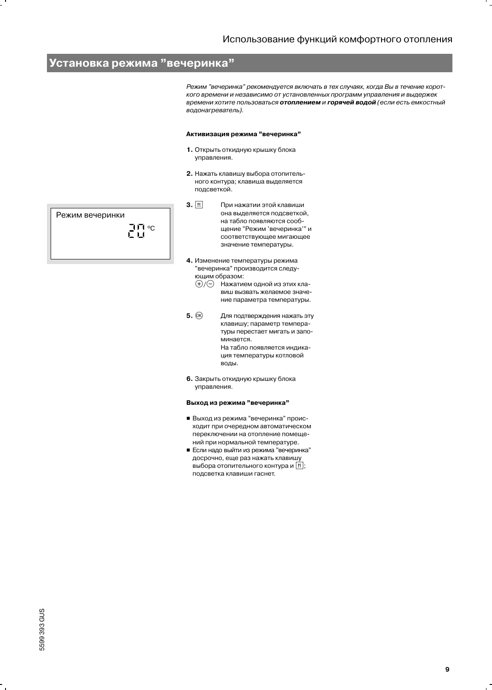# Установка режима "вечеринка"

Режим "вечеринка" рекомендуется включать в тех случаях, когда Вы в течение короткого времени и независимо от установленных программ управления и выдержек времени хотите пользоваться отоплением и горячей водой (если есть емкостный водонагреватель).

#### Активизация режима "вечеринка"

- 1. Открыть откидную крышку блока управления.
- 2. Нажать клавишу выбора отопительного контура; клавиша выделяется подсветкой.
- $3.$   $\boxed{n}$ При нажатии этой клавиши она выделяется подсветкой, на табло появляются сообщение "Режим 'вечеринка'" и соответствующее мигающее значение температуры.
- 4. Изменение температуры режима "вечеринка" производится следующим образом:
	- ⊕/⊝ Нажатием одной из этих клавиш вызвать желаемое значение параметра температуры.
- $5.$   $(R)$ Для подтверждения нажать эту клавишу; параметр температуры перестает мигать и запоминается. На табло появляется индикация температуры котловой воды.
- 6. Закрыть откидную крышку блока управления.

### Выход из режима "вечеринка"

- Выход из режима "вечеринка" происходит при очередном автоматическом переключении на отопление помещений при нормальной температуре.
- Если надо выйти из режима "вечеринка" досрочно, еще раз нажать клавишу выбора отопительного контура и [1]; подсветка клавиши гаснет.

Режим вечеринки  $\Gamma_{\rm H}^{\rm H}$ °c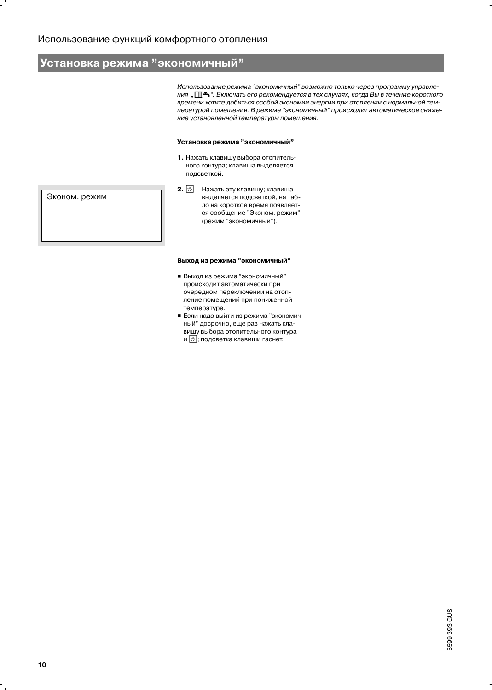# Установка режима "экономичный"

Использование режима "экономичный" возможно только через программу управления " Ш <del>¬</del> ". Включать его рекомендуется в тех случаях, когда Вы в течение короткого времени хотите добиться особой экономии энергии при отоплении с нормальной температурой помещения. В режиме "экономичный" происходит автоматическое снижение установленной температуры помещения.

#### Установка режима "экономичный"

- 1. Нажать клавишу выбора отопительного контура; клавиша выделяется подсветкой.
- 2.  $\boxed{\triangle}$  Нажать эту клавишу; клавиша выделяется подсветкой, на табло на короткое время появляется сообщение "Эконом. режим" (режим "экономичный").

### Выход из режима "экономичный"

- Выход из режима "экономичный" происходит автоматически при очередном переключении на отопление помещений при пониженной температуре.
- Если надо выйти из режима "экономичный" досрочно, еще раз нажать клавишу выбора отопительного контура и <mark>В</mark>; подсветка клавиши гаснет.

Эконом. режим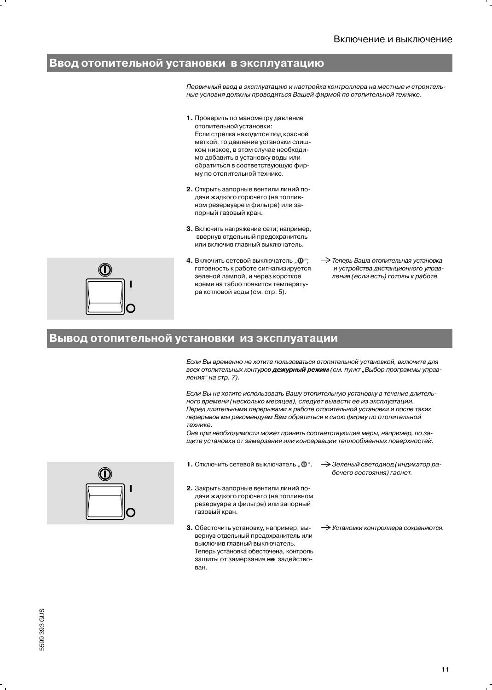# Ввод отопительной установки в эксплуатацию

Первичный ввод в эксплуатацию и настройка контроллера на местные и строительные условия должны проводиться Вашей фирмой по отопительной технике.

- 1. Проверить по манометру давление отопительной установки: Если стрелка находится под красной меткой, то давление установки слишком низкое, в этом случае необходимо добавить в установку воды или обратиться в соответствующую фирму по отопительной технике.
- 2. Открыть запорные вентили линий подачи жидкого горючего (на топливном резервуаре и фильтре) или запорный газовый кран.
- 3. Включить напряжение сети; например, ввернув отдельный предохранитель или включив главный выключатель.
- 
- 4. Включить сетевой выключатель ... 0. готовность к работе сигнализируется зеленой лампой, и через короткое время на табло появится температура котловой воды (см. стр. 5).
- $\rightarrow$  Теперь Ваша отопительная установка и устройства дистанционного управления (если есть) готовы к работе.

# Вывод отопительной установки из эксплуатации

Если Вы временно не хотите пользоваться отопительной установкой, включите для всех отопительных контуров дежурный режим (см. пункт "Выбор программы управления" на стр. 7).

Если Вы не хотите использовать Вашу отопительную установку в течение длительного времени (несколько месяцев), следует вывести ее из эксплуатации. Перед длительными перерывами в работе отопительной установки и после таких перерывов мы рекомендуем Вам обратиться в свою фирму по отопительной технике.

Она при необходимости может принять соответствующие меры, например, по защите установки от замерзания или консервации теплообменных поверхностей.

- 1. Отключить сетевой выключатель "  $\mathbf{0}$ ".
- 2. Закрыть запорные вентили линий подачи жидкого горючего (на топливном резервуаре и фильтре) или запорный газовый кран.
- 3. Обесточить установку, например, вывернув отдельный предохранитель или выключив главный выключатель. Теперь установка обесточена, контроль защиты от замерзания не задействован.
- > Зеленый светодиод (индикатор рабочего состояния) гаснет.
- > Установки контроллера сохраняются.

5599 393 GUS

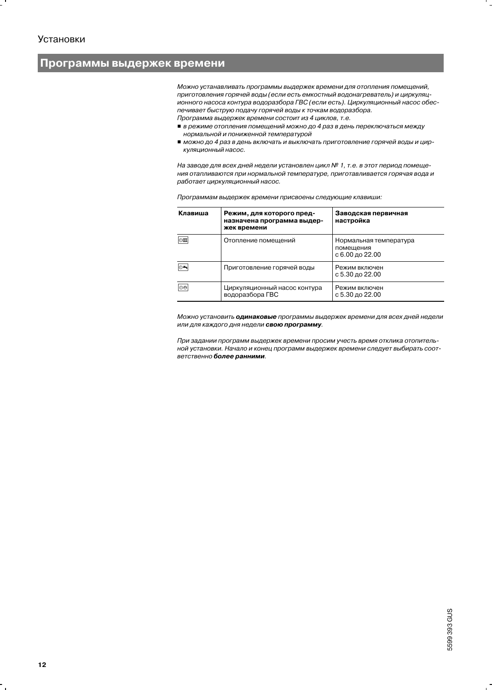# Программы выдержек времени

Можно устанавливать программы выдержек времени для отопления помещений, приготовления горячей воды (если есть емкостный водонагреватель) и циркуляционного насоса контура водоразбора ГВС (если есть). Циркуляционный насос обеспечивает быструю подачу горячей воды к точкам водоразбора. Программа выдержек времени состоит из 4 циклов, т.е.

- в режиме отопления помещений можно до 4 раз в день переключаться между нормальной и пониженной температурой
- можно до 4 раз в день включать и выключать приготовление горячей воды и циркуляционный насос.

На заводе для всех дней недели установлен цикл № 1, т.е. в этот период помещения отапливаются при нормальной температуре, приготавливается горячая вода и работает циркуляционный насос.

| Клавиша | Режим, для которого пред-<br>назначена программа выдер-<br>жек времени | Заводская первичная<br>настройка                       |
|---------|------------------------------------------------------------------------|--------------------------------------------------------|
| ∣⊙ш     | Отопление помещений                                                    | Нормальная температура<br>помещения<br>с 6.00 до 22.00 |
| ⊙≛      | Приготовление горячей воды                                             | Режим включен<br>с 5.30 до 22.00                       |
| ∣୭୭     | Циркуляционный насос контура<br>водоразбора ГВС                        | Режим включен<br>с 5.30 до 22.00                       |

Программам выдержек времени присвоены следующие клавиши:

Можно установить одинаковые программы выдержек времени для всех дней недели или для каждого дня недели свою программу.

При задании программ выдержек времени просим учесть время отклика отопительной установки. Начало и конец программ выдержек времени следует выбирать соответственно более ранними.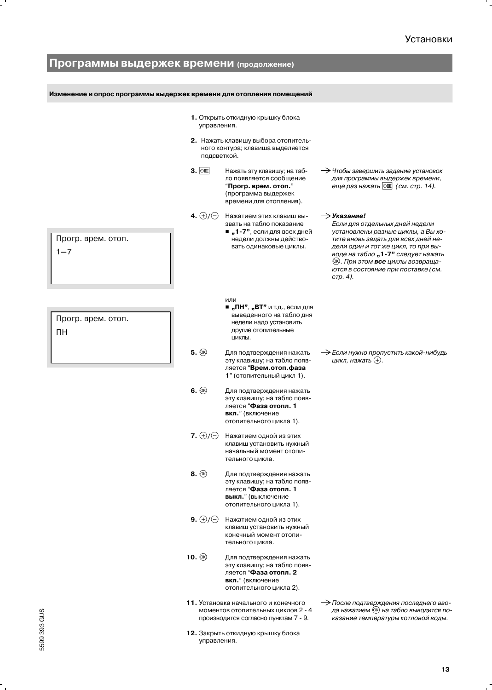۰.

| Программы выдержек времени (продолжение)                             |                         |                                                                                                                                         |                                                                                                                                                                                                                                                                                                                         |
|----------------------------------------------------------------------|-------------------------|-----------------------------------------------------------------------------------------------------------------------------------------|-------------------------------------------------------------------------------------------------------------------------------------------------------------------------------------------------------------------------------------------------------------------------------------------------------------------------|
|                                                                      |                         |                                                                                                                                         |                                                                                                                                                                                                                                                                                                                         |
| Изменение и опрос программы выдержек времени для отопления помещений |                         |                                                                                                                                         |                                                                                                                                                                                                                                                                                                                         |
|                                                                      | управления.             | 1. Открыть откидную крышку блока                                                                                                        |                                                                                                                                                                                                                                                                                                                         |
|                                                                      | подсветкой.             | 2. Нажать клавишу выбора отопитель-<br>ного контура; клавиша выделяется                                                                 |                                                                                                                                                                                                                                                                                                                         |
|                                                                      | $3.$ $\circ$            | Нажать эту клавишу; на таб-<br>ло появляется сообщение<br>"Прогр. врем. отоп."<br>(программа выдержек<br>времени для отопления).        | $\rightarrow$ Чтобы завершить задание установок<br>для программы выдержек времени,<br>еще раз нажать   © ш (см. стр. 14).                                                                                                                                                                                               |
| Прогр. врем. отоп.<br>$1 - 7$                                        | 4. $\oplus$ / $\ominus$ | Нажатием этих клавиш вы-<br>звать на табло показание<br>■ "1-7", если для всех дней<br>недели должны действо-<br>вать одинаковые циклы. | $\rightarrow$ Указание!<br>Если для отдельных дней недели<br>установлены разные циклы, а Вы хо-<br>тите вновь задать для всех дней не-<br>дели один и тот же цикл, то при вы-<br>воде на табло "1-7" следует нажать<br><sup>(ок)</sup> . При этом все циклы возвраща-<br>ются в состояние при поставке (см.<br>стр. 4). |
| Прогр. врем. отоп.<br>ПH                                             |                         | или<br>■ "ПН", "ВТ" и т.д., если для<br>выведенного на табло дня<br>недели надо установить<br>другие отопительные<br>ЦИКЛЫ.             |                                                                                                                                                                                                                                                                                                                         |
|                                                                      | $5.$ $\circledR$        | Для подтверждения нажать<br>эту клавишу; на табло появ-<br>ляется "Врем.отоп.фаза<br>1" (отопительный цикл 1).                          | → Если нужно пропустить какой-нибудь<br>цикл, нажать (+).                                                                                                                                                                                                                                                               |
|                                                                      | $6.$ $\circledcirc$     | Для подтверждения нажать<br>эту клавишу; на табло появ-<br>ляется "Фаза отопл. 1<br><b>вкл.</b> " (включение<br>отопительного цикла 1). |                                                                                                                                                                                                                                                                                                                         |
|                                                                      | 7. $\oplus$ / $\ominus$ | Нажатием одной из этих<br>клавиш установить нужный<br>начальный момент отопи-<br>тельного цикла.                                        |                                                                                                                                                                                                                                                                                                                         |
|                                                                      | $8.$ $\circledR$        | Для подтверждения нажать<br>эту клавишу; на табло появ-<br>ляется "Фаза отопл. 1<br>выкл." (выключение<br>отопительного цикла 1).       |                                                                                                                                                                                                                                                                                                                         |
|                                                                      | 9. $\oplus$ / $\ominus$ | Нажатием одной из этих<br>клавиш установить нужный<br>конечный момент отопи-<br>тельного цикла.                                         |                                                                                                                                                                                                                                                                                                                         |
|                                                                      | 10. $\circledR$         | Для подтверждения нажать<br>эту клавишу; на табло появ-<br>ляется "Фаза отопл. 2<br>вкл." (включение<br>отопительного цикла 2).         |                                                                                                                                                                                                                                                                                                                         |
|                                                                      |                         | 11. Установка начального и конечного<br>моментов отопительных циклов 2 - 4<br>производится согласно пунктам 7 - 9.                      | — После подтверждения последнего вво-<br>да нажатием ® на табло выводится по-<br>казание температуры котловой воды.                                                                                                                                                                                                     |
|                                                                      | управления.             | 12. Закрыть откидную крышку блока                                                                                                       |                                                                                                                                                                                                                                                                                                                         |

 $\ddot{\phantom{0}}$ 

 $\mathbf{r}$ 

f  $\blacksquare$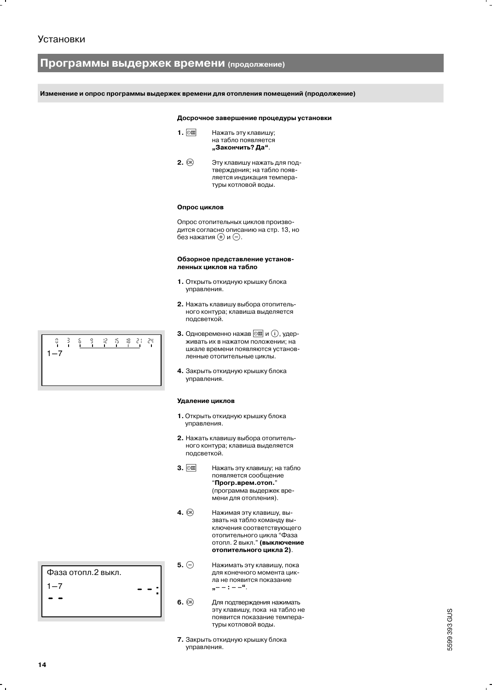# Программы выдержек времени (продолжение)

Изменение и опрос программы выдержек времени для отопления помещений (продолжение)

#### Досрочное завершение процедуры установки

- $1.$   $\circ$ Нажать эту клавишу; на табло появляется "Закончить? Да".
- $2.$   $\circledcirc$ Эту клавишу нажать для подтверждения; на табло появляется индикация температуры котловой воды.

#### Опрос циклов

Опрос отопительных циклов производится согласно описанию на стр. 13, но без нажатия (+) и ⊝.

#### Обзорное представление установленных циклов на табло

- 1. Открыть откидную крышку блока управления.
- 2. Нажать клавишу выбора отопительного контура; клавиша выделяется подсветкой.
- 3. Одновременно нажав  $\boxed{\circ \mathfrak{m}}$  и  $(i)$ , удерживать их в нажатом положении; на шкале времени появляются установленные отопительные циклы.
- 4. Закрыть откидную крышку блока управления.

#### Удаление циклов

- 1. Открыть откидную крышку блока управления.
- 2. Нажать клавишу выбора отопительного контура; клавиша выделяется подсветкой.
- $3.$   $\circ$ Нажать эту клавишу; на табло появляется сообщение "Прогр.врем.отоп." (программа выдержек времени для отопления).
- $4.$   $@$ Нажимая эту клавишу, вызвать на табло команду выключения соответствующего отопительного цикла "Фаза отопл. 2 выкл." (выключение отопительного цикла 2).
- $5. \ominus$ Нажимать эту клавишу, пока для конечного момента цикла не появится показание  $, -- : --<sup>a</sup>.$
- $6.$   $@$ Для подтверждения нажимать эту клавишу, пока на табло не появится показание температуры котловой воды.
- 7. Закрыть откидную крышку блока управления.

5599 393 GUS

| Ο<br>$\mathbf{I}$ | $\frac{3}{1}$ | .S. . | - 9 - | 12 15 18 21 24 | $\sim$ 1 $\sim$ 1 $\sim$ 1 |  |  |
|-------------------|---------------|-------|-------|----------------|----------------------------|--|--|
| 1–7               |               |       |       |                |                            |  |  |
|                   |               |       |       |                |                            |  |  |

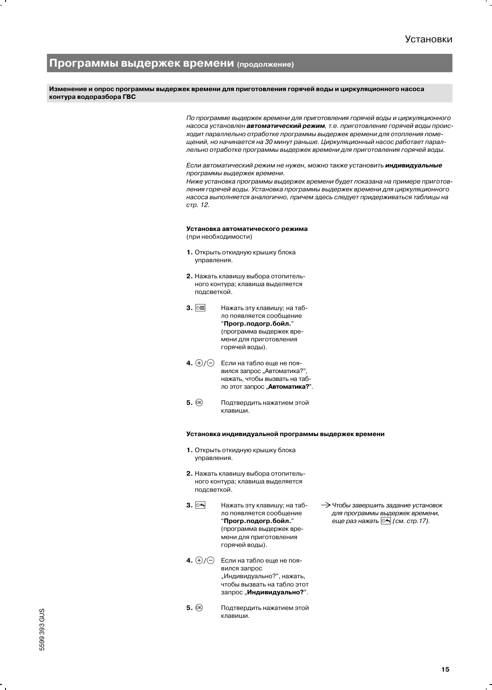## Программы выдержек времени (продолжение)

Изменение и опрос программы выдержек времени для приготовления горячей воды и циркуляционного насоса контура водоразбора ГВС

> По программе выдержек времени для приготовления горячей воды и циркуляционного насоса установлен автоматический режим, т.е. приготовление горячей воды происходит параллельно отработке программы выдержек времени для отопления помещений, но начинается на 30 минут раньше. Циркуляционный насос работает параллельно отработке программы выдержек времени для приготовления горячей воды.

#### Если автоматический режим не нужен, можно также установить индивидуальные программы выдержек времени.

Ниже установка программы выдержек времени будет показана на примере приготовления горячей воды. Установка программы выдержек времени для циркуляционного насоса выполняется аналогично, причем здесь следует придерживаться таблицы на стр. 12.

### Установка автоматического режима (при необходимости)

- 1. Открыть откидную крышку блока управления.
- 2. Нажать клавишу выбора отопительного контура; клавиша выделяется подсветкой.
- 3. 2画 Нажать эту клавишу; на табло появляется сообщение "Прогр.подогр.бойл." (программа выдержек времени для приготовления горячей воды).
- 4.  $\oplus$ / $\ominus$ Если на табло еще не появился запрос "Автоматика?", нажать, чтобы вызвать на табло этот запрос "Автоматика?".
- $5.$   $(R)$ Подтвердить нажатием этой клавиши.

#### Установка индивидуальной программы выдержек времени

- 1. Открыть откидную крышку блока управления.
- 2. Нажать клавишу выбора отопительного контура; клавиша выделяется подсветкой.
- 3.  $\circ$ Нажать эту клавишу; на табло появляется сообщение "Прогр.подогр.бойл." (программа выдержек времени для приготовления горячей воды).
- 4.  $\bigoplus$  / $\bigodot$  Если на табло еще не появился запрос "Индивидуально?", нажать, чтобы вызвать на табло этот запрос "Индивидуально?".
- $5.$   $\circledcirc$ Подтвердить нажатием этой клавиши.

> Чтобы завершить задание установок для программы выдержек времени, еще раз нажать <sup>⊙ь</sup> (см. стр. 17).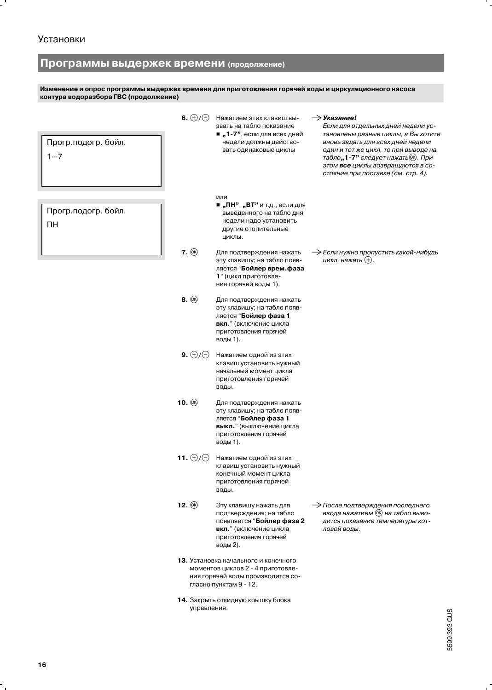$\overline{a}$ 

# Программы выдержек времени (продолжение)

Изменение и опрос программы выдержек времени для приготовления горячей воды и циркуляционного насоса<br>контура водоразбора ГВС (продолжение)

| Прогр.подогр. бойл.<br>$1 - 7$ | 6. $\bigoplus/\bigoplus$ | Нажатием этих клавиш вы-<br>звать на табло показание<br>■ "1-7", если для всех дней<br>недели должны действо-<br>вать одинаковые циклы            | $\rightarrow$ Указание!<br>Если для отдельных дней недели ус-<br>тановлены разные циклы, а Вы хотите<br>вновь задать для всех дней недели<br>один и тот же цикл, то при выводе на<br>табло"1-7" следует нажать (ок). При<br>этом все циклы возвращаются в со-<br>стояние при поставке (см. стр. 4). |
|--------------------------------|--------------------------|---------------------------------------------------------------------------------------------------------------------------------------------------|-----------------------------------------------------------------------------------------------------------------------------------------------------------------------------------------------------------------------------------------------------------------------------------------------------|
| Прогр.подогр. бойл.<br>ΠН      |                          | или<br>■ "ПН", "ВТ" и т.д., если для<br>выведенного на табло дня<br>недели надо установить<br>другие отопительные<br>циклы.                       |                                                                                                                                                                                                                                                                                                     |
|                                | $7.$ $\circledcirc$      | Для подтверждения нажать<br>эту клавишу; на табло появ-<br>ляется "Бойлер врем. фаза<br>1" (цикл приготовле-<br>ния горячей воды 1).              | $\rightarrow$ Если нужно пропустить какой-нибудь<br>цикл, нажать (+).                                                                                                                                                                                                                               |
|                                | $8.$ $\circledR$         | Для подтверждения нажать<br>эту клавишу; на табло появ-<br>ляется "Бойлер фаза 1<br>вкл." (включение цикла<br>приготовления горячей<br>воды 1).   |                                                                                                                                                                                                                                                                                                     |
|                                | 9. $\oplus$ / $\ominus$  | Нажатием одной из этих<br>клавиш установить нужный<br>начальный момент цикла<br>приготовления горячей<br>воды.                                    |                                                                                                                                                                                                                                                                                                     |
|                                | 10. $\circledR$          | Для подтверждения нажать<br>эту клавишу; на табло появ-<br>ляется "Бойлер фаза 1<br>выкл." (выключение цикла<br>приготовления горячей<br>воды 1). |                                                                                                                                                                                                                                                                                                     |
|                                | 11. $\oplus$ / $\ominus$ | Нажатием одной из этих<br>клавиш установить нужный<br>конечный момент цикла<br>приготовления горячей<br>воды.                                     |                                                                                                                                                                                                                                                                                                     |
|                                | 12. $(X)$                | Эту клавишу нажать для<br>подтверждения; на табло<br>появляется "Бойлер фаза 2<br>вкл." (включение цикла<br>приготовления горячей<br>воды 2).     | — После подтверждения последнего<br>ввода нажатием ® на табло выво-<br>дится показание температуры кот-<br>ловой воды.                                                                                                                                                                              |
|                                |                          | 13. Установка начального и конечного<br>моментов циклов 2 - 4 приготовле-<br>ния горячей воды производится со-<br>гласно пунктам 9 - 12.          |                                                                                                                                                                                                                                                                                                     |
|                                | управления.              | 14. Закрыть откидную крышку блока                                                                                                                 |                                                                                                                                                                                                                                                                                                     |

 $\ddot{\phantom{0}}$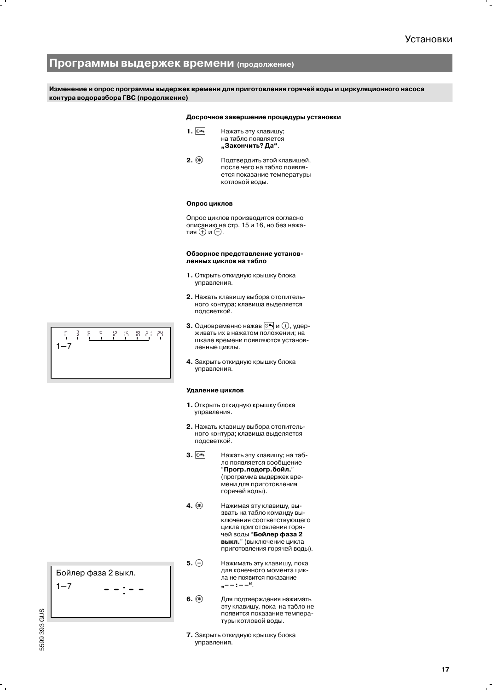# Программы выдержек времени (продолжение)

Изменение и опрос программы выдержек времени для приготовления горячей воды и циркуляционного насоса контура водоразбора ГВС (продолжение)

#### Досрочное завершение процедуры установки

- 1.  $\circ$ ร Нажать эту клавишу; на табло появляется "Закончить? Да".
- $2.$   $@$ Подтвердить этой клавишей, после чего на табло появляется показание температуры котловой воды.

#### Опрос циклов

Опрос циклов производится согласно описанию на стр. 15 и 16, но без нажатия  $\oplus$  и  $\ominus$ .

#### Обзорное представление установленных циклов на табло

- 1. Открыть откидную крышку блока управления.
- 2. Нажать клавишу выбора отопительного контура; клавиша выделяется подсветкой.
- 3. Одновременно нажав  $\circ$  и (i), удерживать их в нажатом положении; на шкале времени появляются установленные циклы.
- 4. Закрыть откидную крышку блока управления.

#### Удаление циклов

- 1. Открыть откидную крышку блока управления.
- 2. Нажать клавишу выбора отопительного контура; клавиша выделяется подсветкой.
- $3.$   $\circ$ Нажать эту клавишу; на табло появляется сообщение "Прогр.подогр.бойл." (программа выдержек времени для приготовления горячей воды).
- 4.  $\circledR$ Нажимая эту клавишу, вызвать на табло команду выключения соответствующего цикла приготовления горячей воды "Бойлер фаза 2 выкл." (выключение цикла приготовления горячей воды).
- 5.  $\ominus$ Нажимать эту клавишу, пока для конечного момента цикла не появится показание  $\mathbf{e} = -1 - 2\mathbf{e}$
- $6.$   $(R)$ Для подтверждения нажимать эту клавишу, пока на табло не появится показание температуры котловой воды.
- 7. Закрыть откидную крышку блока управления.

 $R - 5$ 8 21 Ř Ş. 9 력 Ч.  $1 - 7$ 

Бойлер фаза 2 выкл.  $1 - 7$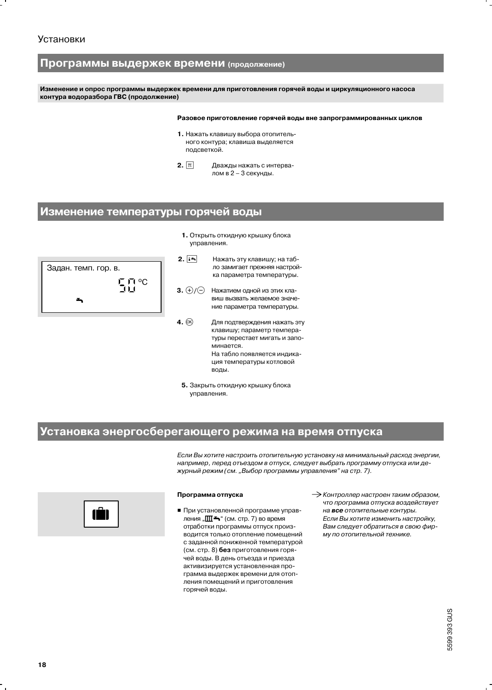# Программы выдержек времени (продолжение)

Изменение и опрос программы выдержек времени для приготовления горячей воды и циркуляционного насоса контура водоразбора ГВС (продолжение)

#### Разовое приготовление горячей воды вне запрограммированных циклов

- 1. Нажать клавишу выбора отопительного контура; клавиша выделяется подсветкой.
- $2.$   $\boxed{r}$ Дважды нажать с интервалом в 2 - 3 секунды.

# Изменение температуры горячей воды



- 1. Открыть откидную крышку блока управления.
- $2.15$ Нажать эту клавишу; на табло замигает прежняя настройка параметра температуры.
- 3.  $\bigoplus/\bigoplus$ Нажатием одной из этих клавиш вызвать желаемое значение параметра температуры.
- 4. (ok) Для подтверждения нажать эту клавишу; параметр температуры перестает мигать и запоминается На табло появляется индикация температуры котловой воды.
- 5. Закрыть откидную крышку блока управления.

# Установка энергосберегающего режима на время отпуска

Если Вы хотите настроить отопительную установку на минимальный расход энергии, например, перед отъездом в отпуск, следует выбрать программу отпуска или дежурный режим (см. "Выбор программы управления" на стр. 7).



#### Программа отпуска

- При установленной программе управления " $\mathbf{m}$ — " (см. стр. 7) во время отработки программы отпуск производится только отопление помешений с заданной пониженной температурой (см. стр. 8) без приготовления горячей воды. В день отъезда и приезда активизируется установленная программа выдержек времени для отопления помещений и приготовления горячей воды.
- > Контроллер настроен таким образом, что программа отпуска воздействует на все отопительные контуры. Если Вы хотите изменить настройку, Вам следует обратиться в свою фирму по отопительной технике.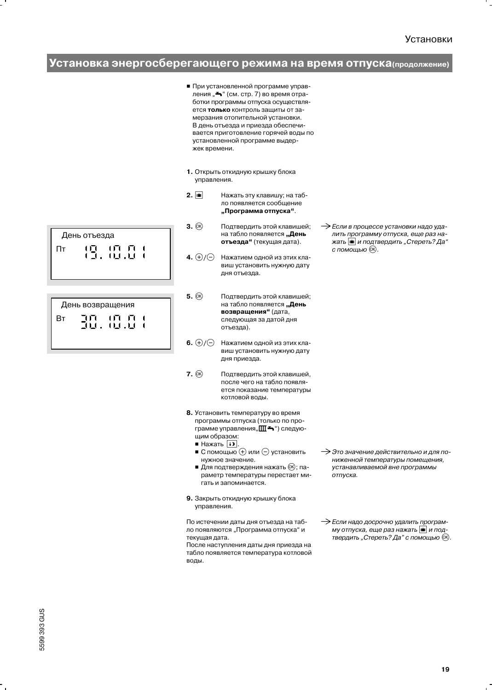# Установка энергосберегающего режима на время отпуска (продолжение)

- При установленной программе управления "А" (см. стр. 7) во время отработки программы отпуска осуществляется только контроль защиты от замерзания отопительной установки. В день отъезда и приезда обеспечивается приготовление горячей воды по установленной программе выдержек времени.
- 1. Открыть откидную крышку блока управления.
- $2.$   $\boxed{m}$ Нажать эту клавишу; на табло появляется сообщение "Программа отпуска".
- $3.$   $(R)$ Подтвердить этой клавишей: на табло появляется "День отъезда" (текущая дата).
- 4.  $\oplus$ / $\ominus$ Нажатием одной из этих клавиш установить нужную дату дня отъезда.
- $5.$   $(R)$ Подтвердить этой клавишей; на табло появляется "День возвращения" (дата, следующая за датой дня отъезда).
- 6.  $(H)/H$ Нажатием одной из этих клавиш установить нужную дату дня приезда.
- $7.$   $\circledcirc$ Подтвердить этой клавишей, после чего на табло появляется показание температуры котловой воды.
- 8. Установить температуру во время программы отпуска (только по программе управления" [  $\blacksquare$  → ") следующим образом:
	- $\blacksquare$  Нажать  $\boxed{D}$
	- С помощью  $\oplus$  или  $\ominus$  установить нужное значение.
	- Для подтверждения нажать ®; параметр температуры перестает мигать и запоминается.
- 9. Закрыть откидную крышку блока управления.

По истечении даты дня отъезда на табло появляются "Программа отпуска" и текущая дата.

После наступления даты дня приезда на табло появляется температура котловой воды.

> Это значение действительно и для пониженной температуры помещения, устанавливаемой вне программы отпуска.

> Если в процессе установки надо уда-

с помощью  $@$ .

лить программу отпуска, еще раз на-

жать **в и подтвердить** "Стереть? Да"

> Если надо досрочно удалить программу отпуска, еще раз нажать и подтвердить "Стереть? Да" с помощью ®.

День отъезда ו הוהו<br>וע.ש Пт 工

|    | День возвращения       |  |  |
|----|------------------------|--|--|
| Вт | ו הווה הך<br>ועות על ה |  |  |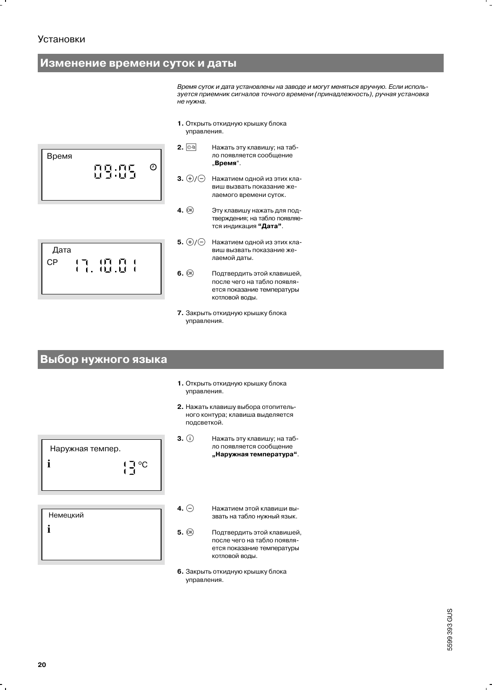# **Установки**

Дата

 $CP$ 

# Изменение времени суток и даты

Время суток и дата установлены на заводе и могут меняться вручную. Если используется приемник сигналов точного времени (принадлежность), ручная установка не нужна.

1. Открыть откидную крышку блока управления.



10. 0.<br>11. 11

ן<br>ו

- $2.$  04 Нажать эту клавишу; на табло появляется сообщение "Время".
- **3.**  $\bigoplus/\bigoplus$  Нажатием одной из этих клавиш вызвать показание желаемого времени суток.
- $4.$   $@$ Эту клавишу нажать для подтверждения; на табло появляется индикация "Дата".
- 5.  $(F)/F$  Нажатием одной из этих клавиш вызвать показание желаемой даты.
	- $6.$   $(R)$ Подтвердить этой клавишей, после чего на табло появляется показание температуры котловой воды.
	- 7. Закрыть откидную крышку блока управления.

# Выбор нужного языка

- 1. Открыть откидную крышку блока управления.
- 2. Нажать клавишу выбора отопительного контура; клавиша выделяется подсветкой.
- Наружная темпер.  $\prod_{i=1}^{n} C_i$ i
- Немецкий  $\mathbf{i}$
- $3.$   $\odot$ Нажать эту клавишу; на табло появляется сообщение "Наружная температура".
- 4.  $\ominus$ Нажатием этой клавиши вызвать на табло нужный язык.
- $5.$   $(R)$ Подтвердить этой клавишей, после чего на табло появляется показание температуры котловой воды.
- 6. Закрыть откидную крышку блока управления.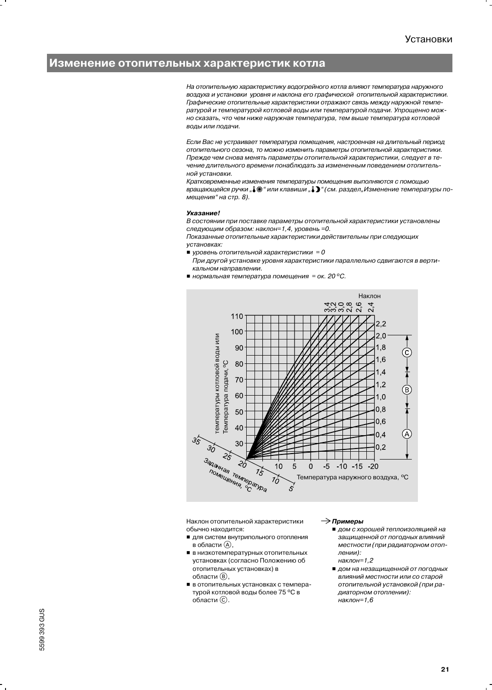## Изменение отопительных характеристик котла

На отопительную характеристику водогрейного котла влияют температура наружного воздуха и установки уровня и наклона его графической отопительной характеристики. Графические отопительные характеристики отражают связь между наружной температурой и температурой котловой воды или температурой подачи. Упрощенно можно сказать, что чем ниже наружная температура, тем выше температура котловой воды или подачи.

Если Вас не устраивает температура помещения, настроенная на длительный период отопительного сезона, то можно изменить параметры отопительной характеристики. Прежде чем снова менять параметры отопительной характеристики, следует в течение длительного времени понаблюдать за измененным поведением отопительной установки.

Кратковременные изменения температуры помещения выполняются с помощью вращающейся ручки "", \* или клавиши ", ", " (см. раздел "Изменение температуры помещения" на стр. 8).

#### **Указание!**

В состоянии при поставке параметры отопительной характеристики установлены следующим образом: наклон=1,4, уровень =0.

Показанные отопительные характеристики действительны при следующих установках:

- уровень отопительной характеристики = 0
	- При другой установке уровня характеристики параллельно сдвигаются в вертикальном направлении.
- $\blacksquare$  нормальная температура помещения = ок. 20 °С.



Наклон отопительной характеристики обычно находится:

- для систем внутрипольного отопления в области (A),
- в низкотемпературных отопительных установках (согласно Положению об отопительных установках) в области ®,
- в отопительных установках с температурой котловой воды более 75 °С в области ©.

#### $\rightarrow$  Примеры

- дом с хорошей теплоизоляцией на защищенной от погодных влияний местности (при радиаторном отоплении): наклон=1,2
- дом на незашишенной от погодных влияний местности или со старой отопительной установкой (при радиаторном отоплении): наклон=1,6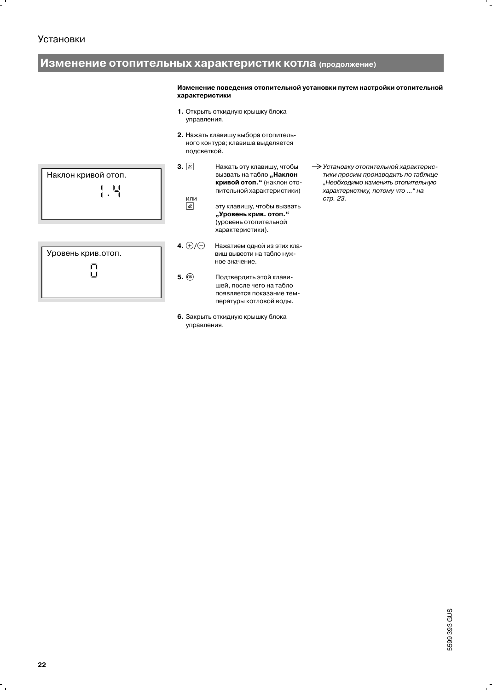# **Установки**

# Изменение отопительных характеристик котла (продолжение)

 $3.  $\boxed{\mathbb{Z}}$$ 

Изменение поведения отопительной установки путем настройки отопительной характеристики

- 1. Открыть откидную крышку блока управления.
- 2. Нажать клавишу выбора отопительного контура; клавиша выделяется подсветкой.



口

- вызвать на табло "Наклон кривой отоп." (наклон отопительной характеристики) или  $\mathbb Z$ эту клавишу, чтобы вызвать "Уровень крив. отоп."
	- (уровень отопительной характеристики).

Нажать эту клавишу, чтобы

- 4.  $\oplus$ / $\ominus$ Нажатием одной из этих клавиш вывести на табло нужное значение.
- $5.$   $\circledR$ Подтвердить этой клавишей, после чего на табло появляется показание температуры котловой воды.
- 6. Закрыть откидную крышку блока управления.

> Установку отопительной характеристики просим производить по таблице "Необходимо изменить отопительную характеристику, потому что ... " на стр. 23.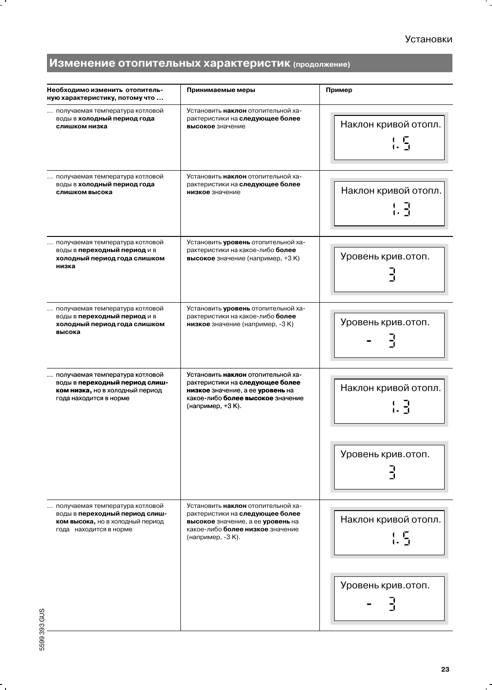۰.

# Изменение отопительных характеристик (продолжение)

| Необходимо изменить отопитель-<br>ную характеристику, потому что                                                                | Принимаемые меры                                                                                                                                                                  | Пример                                                                         |
|---------------------------------------------------------------------------------------------------------------------------------|-----------------------------------------------------------------------------------------------------------------------------------------------------------------------------------|--------------------------------------------------------------------------------|
| получаемая температура котловой<br>воды в холодный период года<br>слишком низка                                                 | Установить наклон отопительной ха-<br>рактеристики на следующее более<br>высокое значение                                                                                         | Наклон кривой отопл.<br>$\frac{1}{1}$                                          |
| получаемая температура котловой<br>воды в холодный период года<br>слишком высока                                                | Установить <b>наклон</b> отопительной ха-<br>рактеристики на следующее более<br>низкое значение                                                                                   | Наклон кривой отопл.                                                           |
| получаемая температура котловой<br>воды в <b>переходный период</b> и в<br>холодный период года слишком<br>низка                 | Установить уровень отопительной ха-<br>рактеристики на какое-либо более<br>высокое значение (например, +3 K)                                                                      | Уровень крив.отоп.                                                             |
| получаемая температура котловой<br>воды в <b>переходный период</b> и в<br>холодный период года слишком<br>высока                | Установить уровень отопительной ха-<br>рактеристики на какое-либо <b>более</b><br>низкое значение (например, -3 К)                                                                | Уровень крив.отоп.                                                             |
| получаемая температура котловой<br>воды в переходный период слиш-<br>ком низка, но в холодный период<br>года находится в норме  | Установить <b>наклон</b> отопительной ха-<br>рактеристики на следующее более<br>низкое значение, а ее уровень на<br>какое-либо <b>более высокое</b> значение<br>(например, +3 К). | Наклон кривой отопл.<br>$\begin{smallmatrix} 1 & 7 \\ 1 & 7 \end{smallmatrix}$ |
|                                                                                                                                 |                                                                                                                                                                                   | Уровень крив.отоп.                                                             |
| получаемая температура котловой<br>воды в переходный период слиш-<br>ком высока, но в холодный период<br>года находится в норме | Установить наклон отопительной ха-<br>рактеристики на следующее более<br>высокое значение, а ее уровень на<br>какое-либо более низкое значение<br>(например, -3 К).               | Наклон кривой отопл.<br>$\frac{1}{1}$                                          |
|                                                                                                                                 |                                                                                                                                                                                   | Уровень крив.отоп.                                                             |

۰.

 $\cdot$  .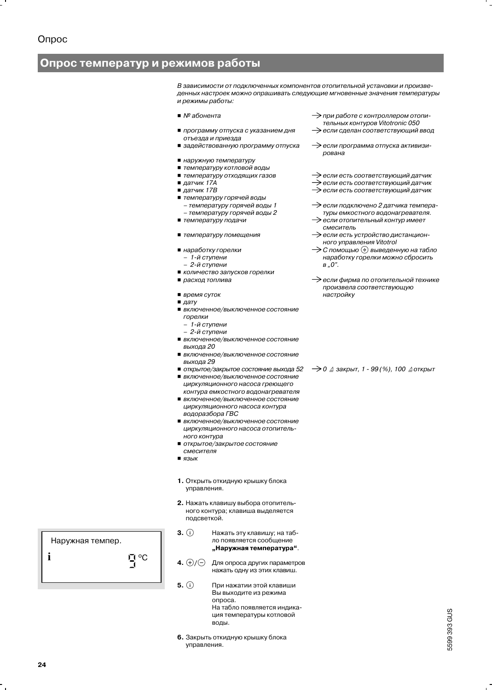# Опрос температур и режимов работы

В зависимости от подключенных компонентов отопительной установки и произведенных настроек можно опрашивать следующие мгновенные значения температуры и режимы работы:

- $\blacksquare$  Nº абонента
- программу отпуска с указанием дня отъезда и приезда
- задействованную программу отпуска
- наружную температуру
- температуру котловой воды
- температуру отходящих газов
- $\blacksquare$  датчик 17А
- $\blacksquare$  датчик 17В
- температуру горячей воды
- температуру горячей воды 1 - температуру горячей воды 2
- температуру подачи
- температуру помещения
- наработку горелки
	- 1-й ступени
- 2-й ступени
- количество запусков горелки
- расход топлива
- время суток
- $\blacksquare$  дату
- включенное/выключенное состояние горелки
	- 1-й ступени
	- 2-й ступени
- включенное/выключенное состояние выхода 20
- включенное/выключенное состояние выхода 29
- открытое/закрытое состояние выхода 52 ■ включенное/выключенное состояние циркуляционного насоса греющего контура емкостного водонагревателя
- включенное/выключенное состояние циркуляционного насоса контура водоразбора ГВС
- включенное/выключенное состояние циркуляционного насоса отопительного контура
- открытое/закрытое состояние
- смесителя
- $\blacksquare$  язык
- 1. Открыть откидную крышку блока управления.
- 2. Нажать клавишу выбора отопительного контура; клавиша выделяется подсветкой.
- $3.$  (i) Нажать эту клавишу; на табло появляется сообщение "Наружная температура".
- 4.  $\oplus$ / $\ominus$ Для опроса других параметров нажать одну из этих клавиш.
- $5.$  (i) При нажатии этой клавиши Вы выходите из режима опроса. На табло появляется индикация температуры котловой воды.
- 6. Закрыть откидную крышку блока управления.
- $\rightarrow$ при работе с контроллером отопительных контуров Vitotronic 050
- $\rightarrow$ если сделан соответствующий ввод
- $\rightarrow$ если программа отпуска активизирована
- $\rightarrow$ если есть соответствующий датчик
- → если есть соответствующий датчик
- $\rightarrow$ если есть соответствующий датчик
- если подключено 2 датчика температуры емкостного водонагревателя.
- $\rightarrow$ если отопительный контур имеет смеситель
- > если есть устройство дистанционного управления Vitotrol
- > С помощью (+) выведенную на табло наработку горелки можно сбросить  $B.0$ ".
- > если фирма по отопительной технике произвела соответствующую настройку

 $\rightarrow$  0  $\triangleq$  закрыт, 1 - 99 (%), 100  $\triangleq$ открыт

Наружная темпер. i **ロ**°C

24

5599 393 GUS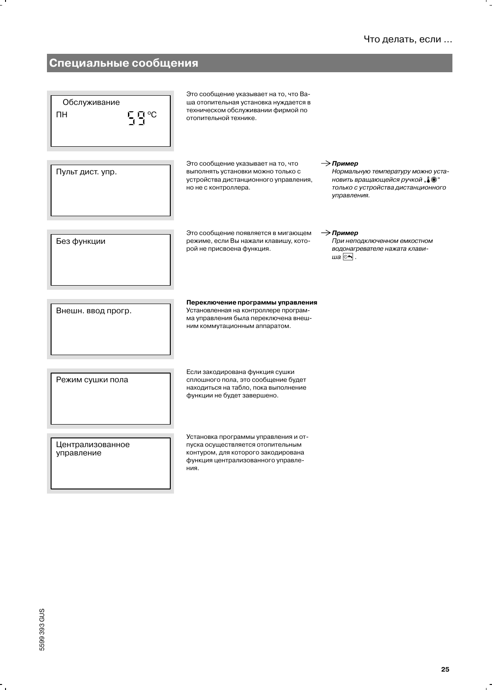# Специальные сообщения

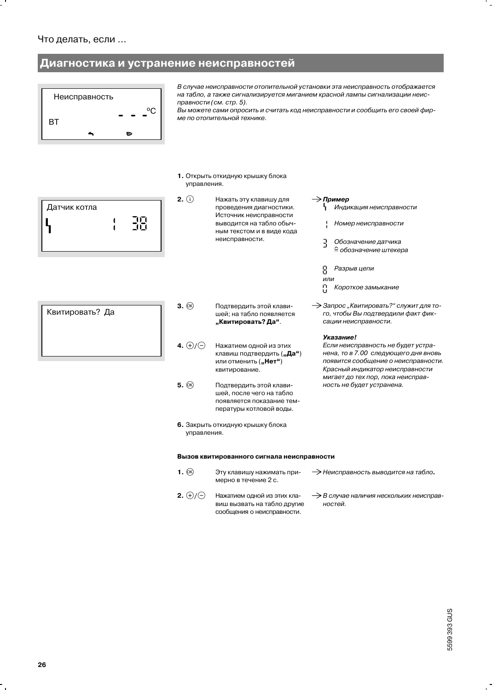# Диагностика и устранение неисправностей

 $2.$  (i)



В случае неисправности отопительной установки эта неисправность отображается на табло, а также сигнализируется миганием красной лампы сигнализации неисправности (см. стр. 5).

Вы можете сами опросить и считать код неисправности и сообщить его своей фирме по отопительной технике.

 $\rightarrow$  Пример

 $\exists$ 

묭

или 묨

Индикация неисправности Номер неисправности

Обозначение датчика

Короткое замыкание

> Запрос "Квитировать?" служит для то-

го, чтобы Вы подтвердили факт фик-

Если неисправность не будет устра-

Красный индикатор неисправности

мигает до тех пор, пока неисправ-

ность не будет устранена.

нена, то в 7.00 следующего дня вновь

появится сообщение о неисправности.

Разрыв цепи

сации неисправности.

Указание!

≙ обозначение штекера

1. Открыть откидную крышку блока управления.

| Датчик котла |  |
|--------------|--|
|              |  |
|              |  |

| Квитировать? Да |  |
|-----------------|--|
|                 |  |
|                 |  |

| Нажать эту клавишу для    |
|---------------------------|
| проведения диагностики.   |
| Источник неисправности    |
| выводится на табло обыч-  |
| ным текстом и в виде кода |
| неисправности.            |
|                           |

- $3.$   $(R)$ Подтвердить этой клавишей; на табло появляется "Квитировать? Да".
- 4.  $\oplus$ / $\ominus$ Нажатием одной из этих клавиш подтвердить ("Да") или отменить ("Нет") квитирование.
- $5.$   $@$ Подтвердить этой клавишей, после чего на табло появляется показание температуры котловой воды.
- 6. Закрыть откидную крышку блока управления.

### Вызов квитированного сигнала неисправности

сообщения о неисправности.

 $1.$   $(R)$ Эту клавишу нажимать при-> Неисправность выводится на табло. мерно в течение 2 с. 2.  $\oplus$ / $\ominus$ Нажатием одной из этих кла-> В случае наличия нескольких неисправвиш вызвать на табло другие ностей.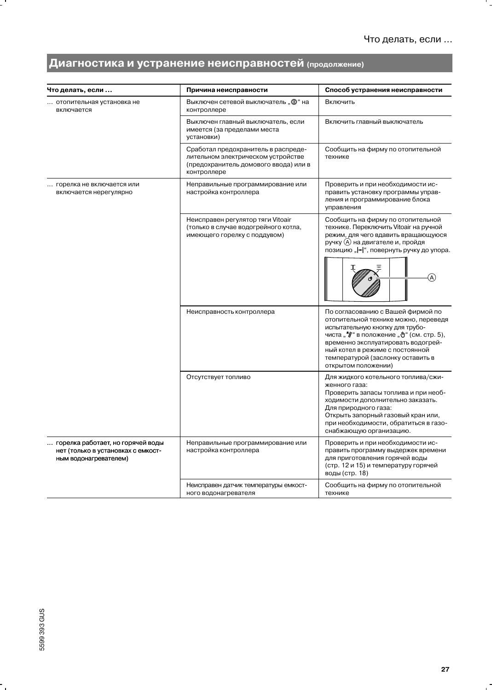۰.

# Диагностика и устранение неисправностей (продолжение)

| Что делать, если                                                                                 | Причина неисправности                                                                                                             | Способ устранения неисправности                                                                                                                                                                                                                                                             |
|--------------------------------------------------------------------------------------------------|-----------------------------------------------------------------------------------------------------------------------------------|---------------------------------------------------------------------------------------------------------------------------------------------------------------------------------------------------------------------------------------------------------------------------------------------|
| отопительная установка не<br>включается                                                          | Выключен сетевой выключатель " Ф" на<br>контроллере                                                                               | Включить                                                                                                                                                                                                                                                                                    |
|                                                                                                  | Выключен главный выключатель, если<br>имеется (за пределами места<br>установки)                                                   | Включить главный выключатель                                                                                                                                                                                                                                                                |
|                                                                                                  | Сработал предохранитель в распреде-<br>лительном электрическом устройстве<br>(предохранитель домового ввода) или в<br>контроллере | Сообщить на фирму по отопительной<br>технике                                                                                                                                                                                                                                                |
| горелка не включается или<br>включается нерегулярно                                              | Неправильные программирование или<br>настройка контроллера                                                                        | Проверить и при необходимости ис-<br>править установку программы управ-<br>ления и программирование блока<br>управления                                                                                                                                                                     |
|                                                                                                  | Неисправен регулятор тяги Vitoair<br>(только в случае водогрейного котла,<br>имеющего горелку с поддувом)                         | Сообщить на фирму по отопительной<br>технике. Переключить Vitoair на ручной<br>режим, для чего вдавить вращающуюся<br>ручку (А) на двигателе и, пройдя<br>позицию " -   ", повернуть ручку до упора.                                                                                        |
|                                                                                                  | Неисправность контроллера                                                                                                         | По согласованию с Вашей фирмой по<br>отопительной технике можно, переведя<br>испытательную кнопку для трубо-<br>чиста "" в положение " " (см. стр. 5),<br>временно эксплуатировать водогрей-<br>ный котел в режиме с постоянной<br>температурой (заслонку оставить в<br>открытом положении) |
|                                                                                                  | Отсутствует топливо                                                                                                               | Для жидкого котельного топлива/сжи-<br>женного газа:<br>Проверить запасы топлива и при необ-<br>ходимости дополнительно заказать.<br>Для природного газа:<br>Открыть запорный газовый кран или,<br>при необходимости, обратиться в газо-<br>снабжающую организацию.                         |
| горелка работает, но горячей воды<br>нет (только в установках с емкост-<br>ным водонагревателем) | Неправильные программирование или<br>настройка контроллера                                                                        | Проверить и при необходимости ис-<br>править программу выдержек времени<br>для приготовления горячей воды<br>(стр. 12 и 15) и температуру горячей<br>воды (стр. 18)                                                                                                                         |
|                                                                                                  | Неисправен датчик температуры емкост-<br>ного водонагревателя                                                                     | Сообщить на фирму по отопительной<br>технике                                                                                                                                                                                                                                                |

۰.

- 1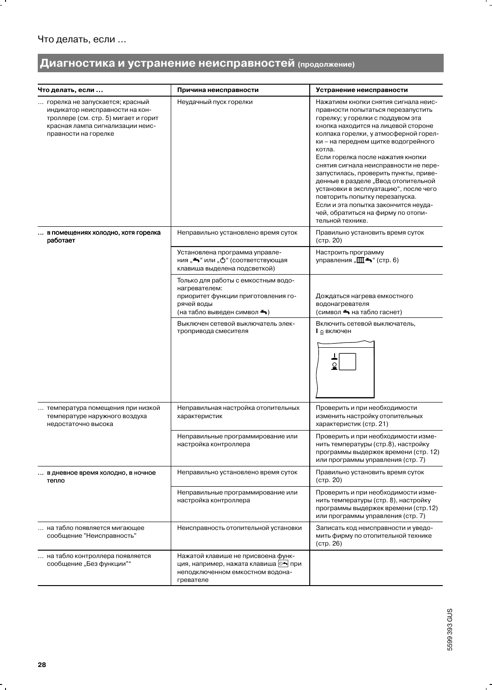$\cdot$  .

# Диагностика и устранение неисправностей (продолжение)

| Что делать, если                                                                                                                                                       | Причина неисправности                                                                                                                              | Устранение неисправности                                                                                                                                                                                                                                                                                                                                                                                                                                                                                                                                                                    |
|------------------------------------------------------------------------------------------------------------------------------------------------------------------------|----------------------------------------------------------------------------------------------------------------------------------------------------|---------------------------------------------------------------------------------------------------------------------------------------------------------------------------------------------------------------------------------------------------------------------------------------------------------------------------------------------------------------------------------------------------------------------------------------------------------------------------------------------------------------------------------------------------------------------------------------------|
| горелка не запускается; красный<br>индикатор неисправности на кон-<br>троллере (см. стр. 5) мигает и горит<br>красная лампа сигнализации неис-<br>правности на горелке | Неудачный пуск горелки                                                                                                                             | Нажатием кнопки снятия сигнала неис-<br>правности попытаться перезапустить<br>горелку; у горелки с поддувом эта<br>кнопка находится на лицевой стороне<br>колпака горелки, у атмосферной горел-<br>ки - на переднем щитке водогрейного<br>котла.<br>Если горелка после нажатия кнопки<br>снятия сигнала неисправности не пере-<br>запустилась, проверить пункты, приве-<br>денные в разделе "Ввод отопительной<br>установки в эксплуатацию", после чего<br>повторить попытку перезапуска.<br>Если и эта попытка закончится неуда-<br>чей, обратиться на фирму по отопи-<br>тельной технике. |
| в помещениях холодно, хотя горелка<br>работает                                                                                                                         | Неправильно установлено время суток                                                                                                                | Правильно установить время суток<br>(CTp. 20)                                                                                                                                                                                                                                                                                                                                                                                                                                                                                                                                               |
|                                                                                                                                                                        | Установлена программа управле-<br>ния "→" или " $\circlearrowright$ " (соответствующая<br>клавиша выделена подсветкой)                             | Настроить программу<br>управления "ША" (стр. 6)                                                                                                                                                                                                                                                                                                                                                                                                                                                                                                                                             |
|                                                                                                                                                                        | Только для работы с емкостным водо-<br>нагревателем:<br>приоритет функции приготовления го-<br>рячей воды<br>(на табло выведен символ <del>-</del> | Дождаться нагрева емкостного<br>водонагревателя<br>(символ <del>-</del> на табло гаснет)                                                                                                                                                                                                                                                                                                                                                                                                                                                                                                    |
|                                                                                                                                                                        | Выключен сетевой выключатель элек-<br>тропривода смесителя                                                                                         | Включить сетевой выключатель,<br><b>I</b> ≙ включен                                                                                                                                                                                                                                                                                                                                                                                                                                                                                                                                         |
| температура помещения при низкой<br>температуре наружного воздуха<br>недостаточно высока                                                                               | Неправильная настройка отопительных<br>характеристик                                                                                               | Проверить и при необходимости<br>изменить настройку отопительных<br>характеристик (стр. 21)                                                                                                                                                                                                                                                                                                                                                                                                                                                                                                 |
|                                                                                                                                                                        | Неправильные программирование или<br>настройка контроллера                                                                                         | Проверить и при необходимости изме-<br>нить температуры (стр.8), настройку<br>программы выдержек времени (стр. 12)<br>или программы управления (стр. 7)                                                                                                                                                                                                                                                                                                                                                                                                                                     |
| в дневное время холодно, в ночное<br>тепло                                                                                                                             | Неправильно установлено время суток                                                                                                                | Правильно установить время суток<br>$($ CTD. $20)$                                                                                                                                                                                                                                                                                                                                                                                                                                                                                                                                          |
|                                                                                                                                                                        | Неправильные программирование или<br>настройка контроллера                                                                                         | Проверить и при необходимости изме-<br>нить температуры (стр. 8), настройку<br>программы выдержек времени (стр.12)<br>или программы управления (стр. 7)                                                                                                                                                                                                                                                                                                                                                                                                                                     |
| на табло появляется мигающее<br>сообщение "Неисправность"                                                                                                              | Неисправность отопительной установки                                                                                                               | Записать код неисправности и уведо-<br>мить фирму по отопительной технике<br>(стр. 26)                                                                                                                                                                                                                                                                                                                                                                                                                                                                                                      |
| на табло контроллера появляется<br>сообщение "Без функции""                                                                                                            | Нажатой клавише не присвоена функ-<br>ция, например, нажата клавиша   ®<br>неподключенном емкостном водона-<br>гревателе                           |                                                                                                                                                                                                                                                                                                                                                                                                                                                                                                                                                                                             |

۰.

 $\ddot{\phantom{0}}$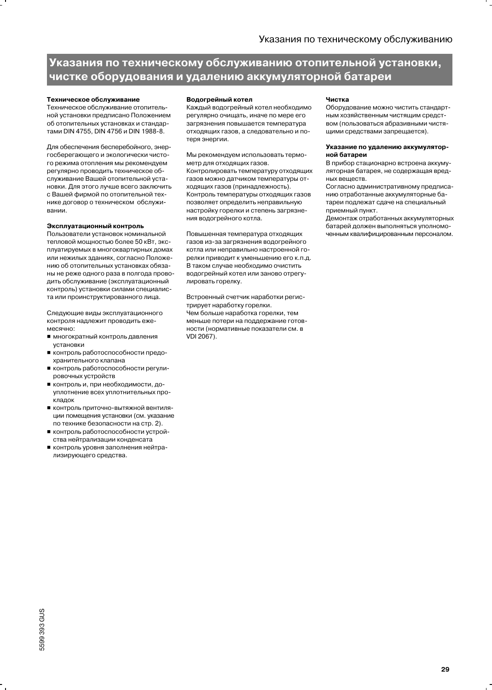# Указания по техническому обслуживанию отопительной установки, чистке оборудования и удалению аккумуляторной батареи

### Техническое обслуживание

Техническое обслуживание отопительной установки предписано Положением об отопительных установках и стандартами DIN 4755, DIN 4756 и DIN 1988-8.

Для обеспечения бесперебойного, энергосберегающего и экологически чистого режима отопления мы рекомендуем регулярно проводить техническое обслуживание Вашей отопительной установки. Для этого лучше всего заключить с Вашей фирмой по отопительной технике договор о техническом обслуживании.

### Эксплуатационный контроль

Пользователи установок номинальной тепловой мощностью более 50 кВт, эксплуатируемых в многоквартирных домах или нежилых зданиях, согласно Положению об отопительных установках обязаны не реже одного раза в полгода проводить обслуживание (эксплуатационный контроль) установки силами специалиста или проинструктированного лица.

Следующие виды эксплуатационного контроля надлежит проводить ежемесячно:

- многократный контроль давления установки
- контроль работоспособности предохранительного клапана
- контроль работоспособности регулировочных устройств
- контроль и, при необходимости, доуплотнение всех уплотнительных прокладок
- КОНТООЛЬ ПОИТОЧНО-ВЫТЯЖНОЙ ВЕНТИЛЯции помещения установки (см. указание по технике безопасности на стр. 2).
- контроль работоспособности устройства нейтрализации конденсата
- контроль уровня заполнения нейтрализирующего средства.

### Водогрейный котел

Каждый водогрейный котел необходимо регулярно очищать, иначе по мере его загрязнения повышается температура отходящих газов, а следовательно и потеря энергии.

Мы рекомендуем использовать термометр для отходящих газов.

Контролировать температуру отходящих газов можно датчиком температуры отходящих газов (принадлежность). Контроль температуры отходящих газов позволяет определить неправильную настройку горелки и степень загрязнения водогрейного котла.

Повышенная температура отходящих газов из-за загрязнения водогрейного котла или неправильно настроенной горелки приводит к уменьшению его к.п.д. В таком случае необходимо очистить водогрейный котел или заново отрегулировать горелку.

Встроенный счетчик наработки регистрирует наработку горелки. Чем больше наработка горелки, тем меньше потери на поддержание готовности (нормативные показатели см. в VDI 2067).

### Чистка

Оборудование можно чистить стандартным хозяйственным чистящим средством (пользоваться абразивными чистящими средствами запрещается).

#### Указание по удалению аккумуляторной батареи

В прибор стационарно встроена аккумуляторная батарея, не содержащая вредных вешеств.

Согласно административному предписанию отработанные аккумуляторные батареи подлежат сдаче на специальный приемный пункт.

Демонтаж отработанных аккумуляторных батарей должен выполняться уполномоченным квалифицированным персоналом.